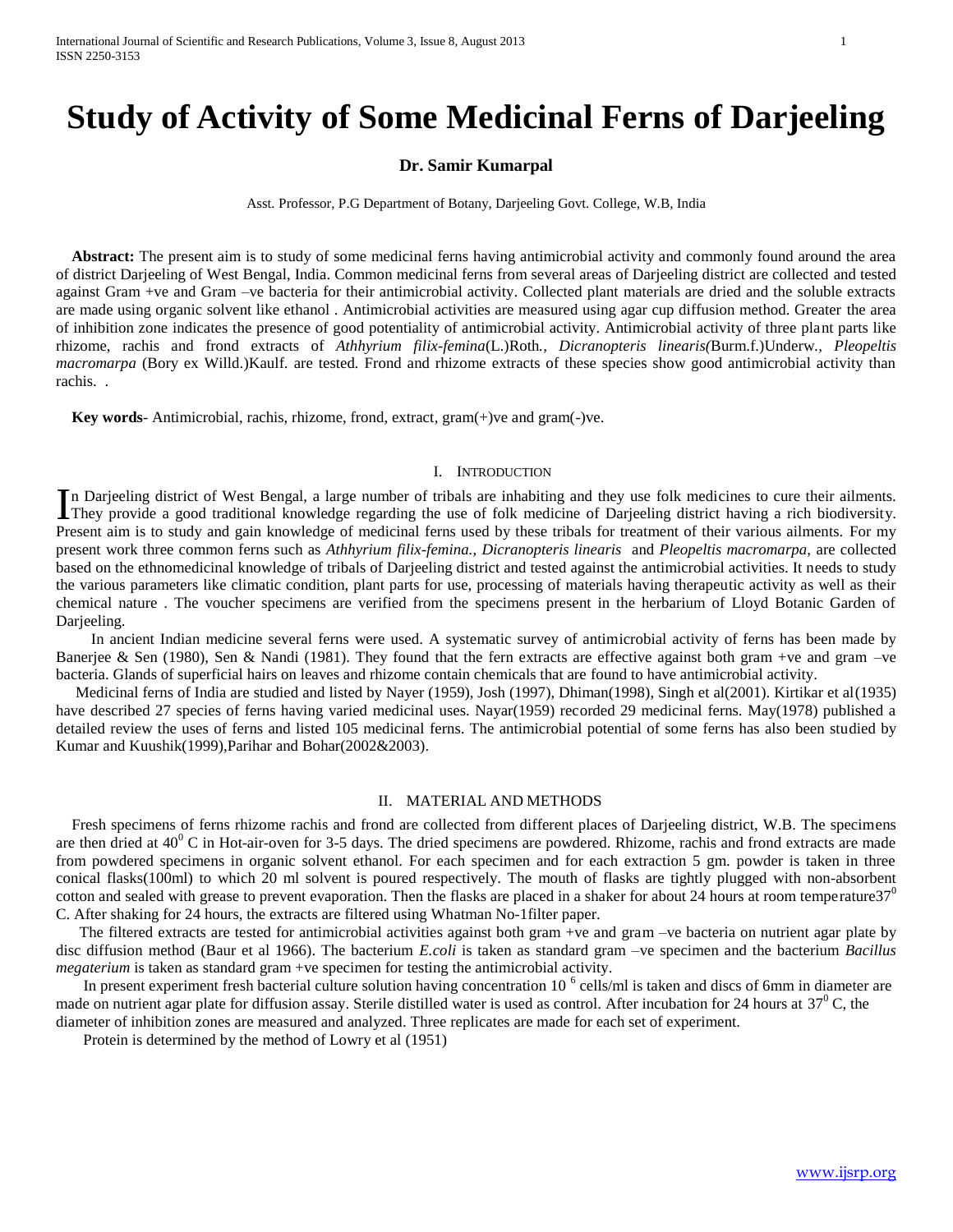# **Study of Activity of Some Medicinal Ferns of Darjeeling**

# **Dr. Samir Kumarpal**

Asst. Professor, P.G Department of Botany, Darjeeling Govt. College, W.B, India

 **Abstract:** The present aim is to study of some medicinal ferns having antimicrobial activity and commonly found around the area of district Darjeeling of West Bengal, India. Common medicinal ferns from several areas of Darjeeling district are collected and tested against Gram +ve and Gram –ve bacteria for their antimicrobial activity. Collected plant materials are dried and the soluble extracts are made using organic solvent like ethanol . Antimicrobial activities are measured using agar cup diffusion method. Greater the area of inhibition zone indicates the presence of good potentiality of antimicrobial activity. Antimicrobial activity of three plant parts like rhizome, rachis and frond extracts of *Athhyrium filix-femina*(L.)Roth*., Dicranopteris linearis(*Burm.f.)Underw*., Pleopeltis macromarpa* (Bory ex Willd.)Kaulf. are tested*.* Frond and rhizome extracts of these species show good antimicrobial activity than rachis..

 **Key words**- Antimicrobial, rachis, rhizome, frond, extract, gram(+)ve and gram(-)ve.

## I. INTRODUCTION

n Darjeeling district of West Bengal, a large number of tribals are inhabiting and they use folk medicines to cure their ailments. In Darjeeling district of West Bengal, a large number of tribals are inhabiting and they use folk medicines to cure their ailments.<br>They provide a good traditional knowledge regarding the use of folk medicine of Darjeeling Present aim is to study and gain knowledge of medicinal ferns used by these tribals for treatment of their various ailments. For my present work three common ferns such as *Athhyrium filix-femina., Dicranopteris linearis* and *Pleopeltis macromarpa,* are collected based on the ethnomedicinal knowledge of tribals of Darjeeling district and tested against the antimicrobial activities. It needs to study the various parameters like climatic condition, plant parts for use, processing of materials having therapeutic activity as well as their chemical nature . The voucher specimens are verified from the specimens present in the herbarium of Lloyd Botanic Garden of Darjeeling.

 In ancient Indian medicine several ferns were used. A systematic survey of antimicrobial activity of ferns has been made by Banerjee & Sen (1980), Sen & Nandi (1981). They found that the fern extracts are effective against both gram +ve and gram -ve bacteria. Glands of superficial hairs on leaves and rhizome contain chemicals that are found to have antimicrobial activity.

 Medicinal ferns of India are studied and listed by Nayer (1959), Josh (1997), Dhiman(1998), Singh et al(2001). Kirtikar et al(1935) have described 27 species of ferns having varied medicinal uses. Nayar(1959) recorded 29 medicinal ferns. May(1978) published a detailed review the uses of ferns and listed 105 medicinal ferns. The antimicrobial potential of some ferns has also been studied by Kumar and Kuushik(1999),Parihar and Bohar(2002&2003).

## II. MATERIAL AND METHODS

 Fresh specimens of ferns rhizome rachis and frond are collected from different places of Darjeeling district, W.B. The specimens are then dried at  $40^{\circ}$  C in Hot-air-oven for 3-5 days. The dried specimens are powdered. Rhizome, rachis and frond extracts are made from powdered specimens in organic solvent ethanol. For each specimen and for each extraction 5 gm. powder is taken in three conical flasks(100ml) to which 20 ml solvent is poured respectively. The mouth of flasks are tightly plugged with non-absorbent cotton and sealed with grease to prevent evaporation. Then the flasks are placed in a shaker for about 24 hours at room temperature $37<sup>0</sup>$ C. After shaking for 24 hours, the extracts are filtered using Whatman No-1filter paper.

The filtered extracts are tested for antimicrobial activities against both gram +ve and gram -ve bacteria on nutrient agar plate by disc diffusion method (Baur et al 1966). The bacterium *E.coli* is taken as standard gram –ve specimen and the bacterium *Bacillus megaterium* is taken as standard gram +ve specimen for testing the antimicrobial activity.

In present experiment fresh bacterial culture solution having concentration 10<sup>6</sup> cells/ml is taken and discs of 6mm in diameter are made on nutrient agar plate for diffusion assay. Sterile distilled water is used as control. After incubation for 24 hours at  $37^{\circ}$ C, the diameter of inhibition zones are measured and analyzed. Three replicates are made for each set of experiment.

Protein is determined by the method of Lowry et al (1951)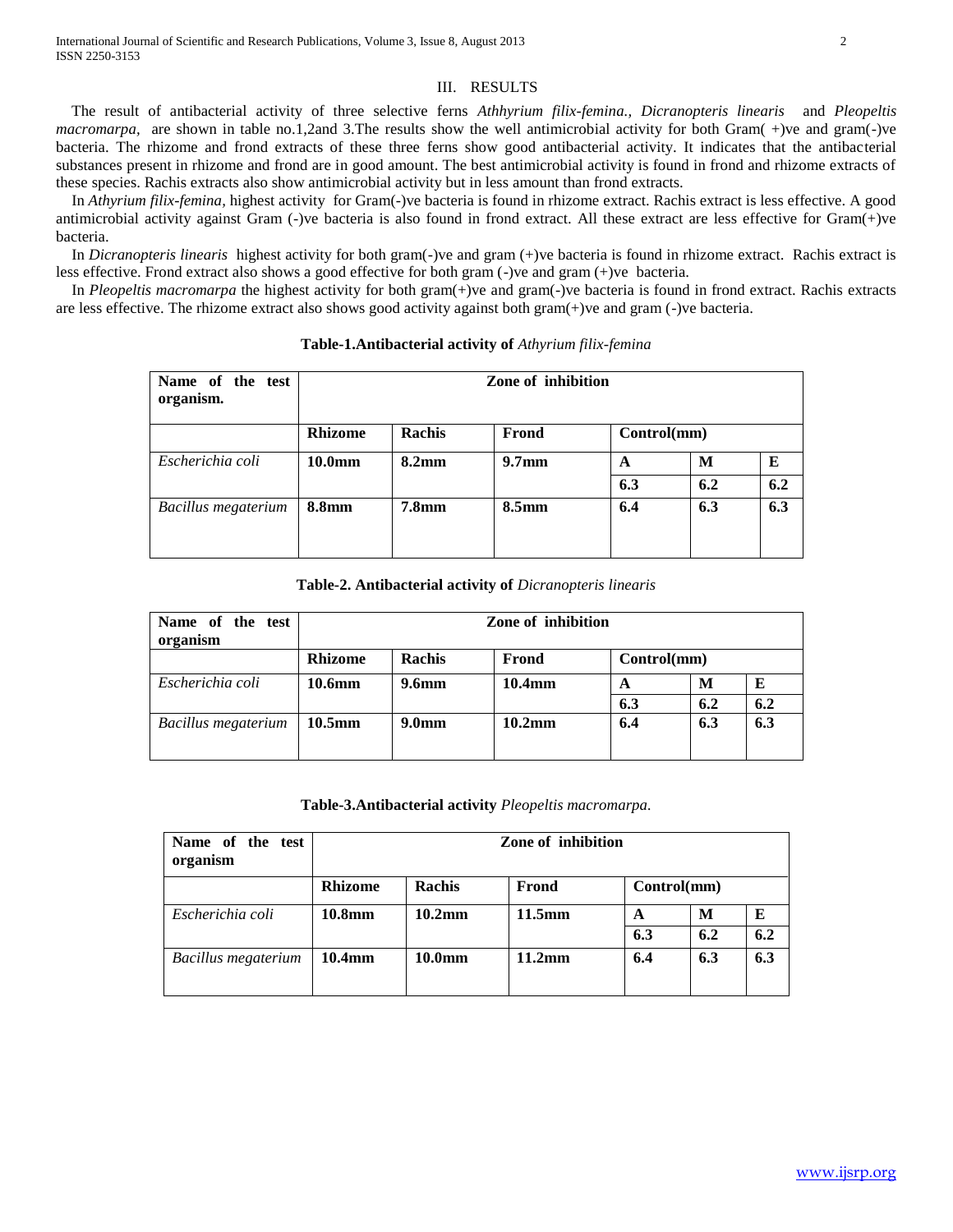# III. RESULTS

 The result of antibacterial activity of three selective ferns *Athhyrium filix-femina., Dicranopteris linearis* and *Pleopeltis macromarpa*, are shown in table no.1,2and 3.The results show the well antimicrobial activity for both Gram(+)ve and gram(-)ve bacteria. The rhizome and frond extracts of these three ferns show good antibacterial activity. It indicates that the antibacterial substances present in rhizome and frond are in good amount. The best antimicrobial activity is found in frond and rhizome extracts of these species. Rachis extracts also show antimicrobial activity but in less amount than frond extracts.

 In *Athyrium filix-femina,* highest activity for Gram(-)ve bacteria is found in rhizome extract. Rachis extract is less effective. A good antimicrobial activity against Gram (-)ve bacteria is also found in frond extract. All these extract are less effective for Gram(+)ve bacteria.

 In *Dicranopteris linearis* highest activity for both gram(-)ve and gram (+)ve bacteria is found in rhizome extract. Rachis extract is less effective. Frond extract also shows a good effective for both gram (-)ve and gram (+)ve bacteria.

 In *Pleopeltis macromarpa* the highest activity for both gram(+)ve and gram(-)ve bacteria is found in frond extract. Rachis extracts are less effective. The rhizome extract also shows good activity against both gram(+)ve and gram (-)ve bacteria.

| Name of the test<br>organism. | Zone of inhibition |                   |                   |             |     |     |
|-------------------------------|--------------------|-------------------|-------------------|-------------|-----|-----|
|                               | <b>Rhizome</b>     | <b>Rachis</b>     | Frond             | Control(mm) |     |     |
| Escherichia coli              | 10.0 <sub>mm</sub> | 8.2 <sub>mm</sub> | 9.7 <sub>mm</sub> | A           | M   | E   |
|                               |                    |                   |                   | 6.3         | 6.2 | 6.2 |
| Bacillus megaterium           | 8.8mm              | <b>7.8mm</b>      | 8.5 <sub>mm</sub> | 6.4         | 6.3 | 6.3 |

**Table-1.Antibacterial activity of** *Athyrium filix-femina*

# **Table-2. Antibacterial activity of** *Dicranopteris linearis*

| Name of the<br>test<br>organism | Zone of inhibition                               |                   |        |     |     |     |
|---------------------------------|--------------------------------------------------|-------------------|--------|-----|-----|-----|
|                                 | <b>Rhizome</b><br>Control(mm)<br>Rachis<br>Frond |                   |        |     |     |     |
| Escherichia coli                | 10.6mm                                           | 9.6 <sub>mm</sub> | 10.4mm | A   | М   | E   |
|                                 |                                                  |                   |        | 6.3 | 6.2 | 6.2 |
| <b>Bacillus megaterium</b>      | $10.5$ mm                                        | 9.0 <sub>mm</sub> | 10.2mm | 6.4 | 6.3 | 6.3 |

**Table-3.Antibacterial activity** *Pleopeltis macromarpa.*

| Name of the test<br>organism | Zone of inhibition |                    |        |     |             |     |
|------------------------------|--------------------|--------------------|--------|-----|-------------|-----|
|                              | <b>Rhizome</b>     | <b>Rachis</b>      | Frond  |     | Control(mm) |     |
| Escherichia coli             | 10.8mm             | $10.2$ mm          | 11.5mm | A   | M           | E   |
|                              |                    |                    |        | 6.3 | 6.2         | 6.2 |
| Bacillus megaterium          | 10.4mm             | 10.0 <sub>mm</sub> | 11.2mm | 6.4 | 6.3         | 6.3 |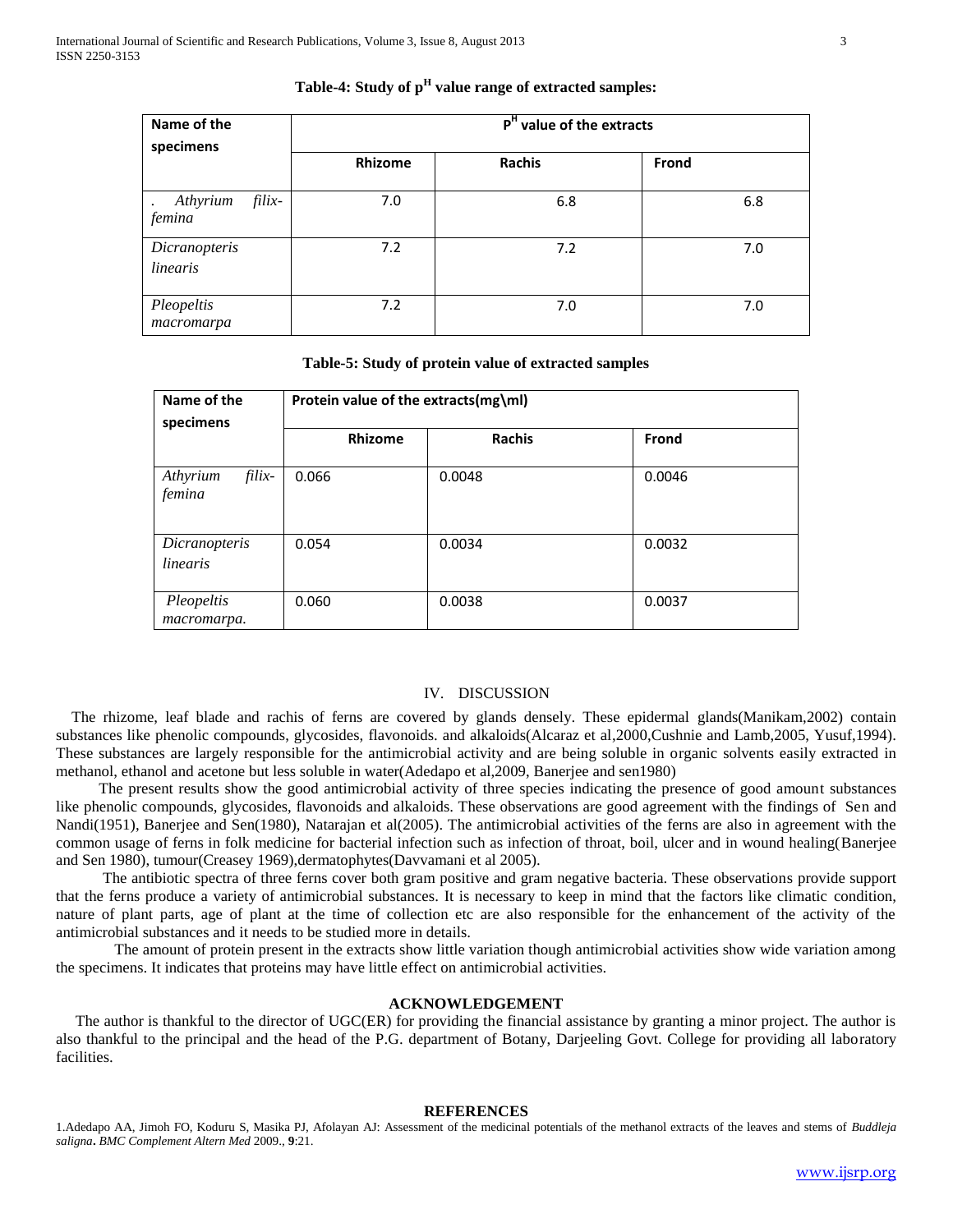| Name of the<br>specimens     | $\overline{P}^H$ value of the extracts |        |       |  |  |
|------------------------------|----------------------------------------|--------|-------|--|--|
|                              | <b>Rhizome</b>                         | Rachis | Frond |  |  |
| filix-<br>Athyrium<br>femina | 7.0                                    | 6.8    | 6.8   |  |  |
| Dicranopteris<br>linearis    | 7.2                                    | 7.2    | 7.0   |  |  |
| Pleopeltis<br>macromarpa     | 7.2                                    | 7.0    | 7.0   |  |  |

**Table-4: Study of p<sup>H</sup> value range of extracted samples:**

### **Table-5: Study of protein value of extracted samples**

| Name of the                  | Protein value of the extracts(mg\ml) |               |        |  |  |
|------------------------------|--------------------------------------|---------------|--------|--|--|
| specimens                    | <b>Rhizome</b>                       | <b>Rachis</b> | Frond  |  |  |
| filix-<br>Athyrium<br>femina | 0.066                                | 0.0048        | 0.0046 |  |  |
| Dicranopteris<br>linearis    | 0.054                                | 0.0034        | 0.0032 |  |  |
| Pleopeltis<br>macromarpa.    | 0.060                                | 0.0038        | 0.0037 |  |  |

# IV. DISCUSSION

 The rhizome, leaf blade and rachis of ferns are covered by glands densely. These epidermal glands(Manikam,2002) contain substances like phenolic compounds, glycosides, flavonoids. and alkaloids(Alcaraz et al,2000,Cushnie and Lamb,2005, Yusuf,1994). These substances are largely responsible for the antimicrobial activity and are being soluble in organic solvents easily extracted in methanol, ethanol and acetone but less soluble in water(Adedapo et al,2009, Banerjee and sen1980)

 The present results show the good antimicrobial activity of three species indicating the presence of good amount substances like phenolic compounds, glycosides, flavonoids and alkaloids. These observations are good agreement with the findings of Sen and Nandi(1951), Banerjee and Sen(1980), Natarajan et al(2005). The antimicrobial activities of the ferns are also in agreement with the common usage of ferns in folk medicine for bacterial infection such as infection of throat, boil, ulcer and in wound healing(Banerjee and Sen 1980), tumour(Creasey 1969),dermatophytes(Davvamani et al 2005).

 The antibiotic spectra of three ferns cover both gram positive and gram negative bacteria. These observations provide support that the ferns produce a variety of antimicrobial substances. It is necessary to keep in mind that the factors like climatic condition, nature of plant parts, age of plant at the time of collection etc are also responsible for the enhancement of the activity of the antimicrobial substances and it needs to be studied more in details.

 The amount of protein present in the extracts show little variation though antimicrobial activities show wide variation among the specimens. It indicates that proteins may have little effect on antimicrobial activities.

#### **ACKNOWLEDGEMENT**

 The author is thankful to the director of UGC(ER) for providing the financial assistance by granting a minor project. The author is also thankful to the principal and the head of the P.G. department of Botany, Darjeeling Govt. College for providing all laboratory facilities.

## **REFERENCES**

1.Adedapo AA, Jimoh FO, Koduru S, Masika PJ, Afolayan AJ: Assessment of the medicinal potentials of the methanol extracts of the leaves and stems of *Buddleja saligna***.** *BMC Complement Altern Med* 2009., **9**:21.